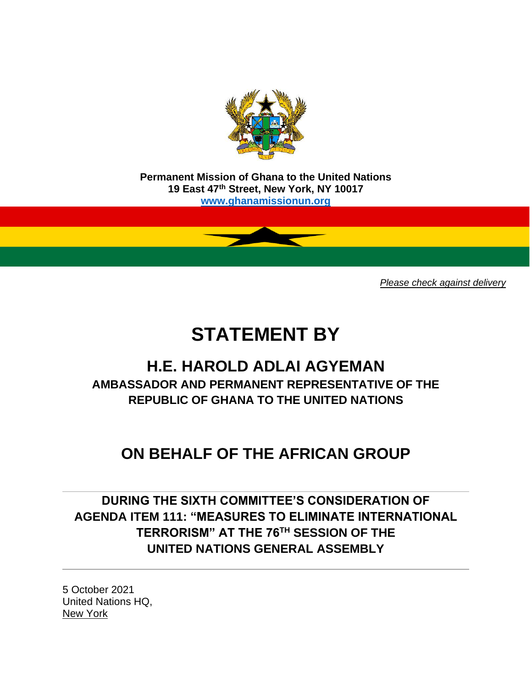

**Permanent Mission of Ghana to the United Nations 19 East 47th Street, New York, NY 10017 [www.ghanamissionun.org](http://www.ghanamissionun.org/)**

*Please check against delivery*

# **STATEMENT BY**

### **H.E. HAROLD ADLAI AGYEMAN AMBASSADOR AND PERMANENT REPRESENTATIVE OF THE REPUBLIC OF GHANA TO THE UNITED NATIONS**

## **ON BEHALF OF THE AFRICAN GROUP**

**DURING THE SIXTH COMMITTEE'S CONSIDERATION OF AGENDA ITEM 111: "MEASURES TO ELIMINATE INTERNATIONAL TERRORISM" AT THE 76TH SESSION OF THE UNITED NATIONS GENERAL ASSEMBLY**

5 October 2021 United Nations HQ, New York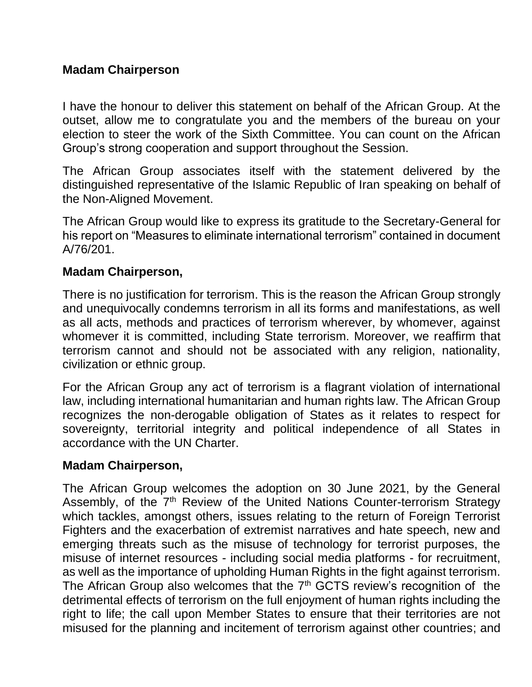#### **Madam Chairperson**

I have the honour to deliver this statement on behalf of the African Group. At the outset, allow me to congratulate you and the members of the bureau on your election to steer the work of the Sixth Committee. You can count on the African Group's strong cooperation and support throughout the Session.

The African Group associates itself with the statement delivered by the distinguished representative of the Islamic Republic of Iran speaking on behalf of the Non-Aligned Movement.

The African Group would like to express its gratitude to the Secretary-General for his report on "Measures to eliminate international terrorism" contained in document A/76/201.

#### **Madam Chairperson,**

There is no justification for terrorism. This is the reason the African Group strongly and unequivocally condemns terrorism in all its forms and manifestations, as well as all acts, methods and practices of terrorism wherever, by whomever, against whomever it is committed, including State terrorism. Moreover, we reaffirm that terrorism cannot and should not be associated with any religion, nationality, civilization or ethnic group.

For the African Group any act of terrorism is a flagrant violation of international law, including international humanitarian and human rights law. The African Group recognizes the non-derogable obligation of States as it relates to respect for sovereignty, territorial integrity and political independence of all States in accordance with the UN Charter.

#### **Madam Chairperson,**

The African Group welcomes the adoption on 30 June 2021, by the General Assembly, of the 7<sup>th</sup> Review of the United Nations Counter-terrorism Strategy which tackles, amongst others, issues relating to the return of Foreign Terrorist Fighters and the exacerbation of extremist narratives and hate speech, new and emerging threats such as the misuse of technology for terrorist purposes, the misuse of internet resources - including social media platforms - for recruitment, as well as the importance of upholding Human Rights in the fight against terrorism. The African Group also welcomes that the  $7<sup>th</sup>$  GCTS review's recognition of the detrimental effects of terrorism on the full enjoyment of human rights including the right to life; the call upon Member States to ensure that their territories are not misused for the planning and incitement of terrorism against other countries; and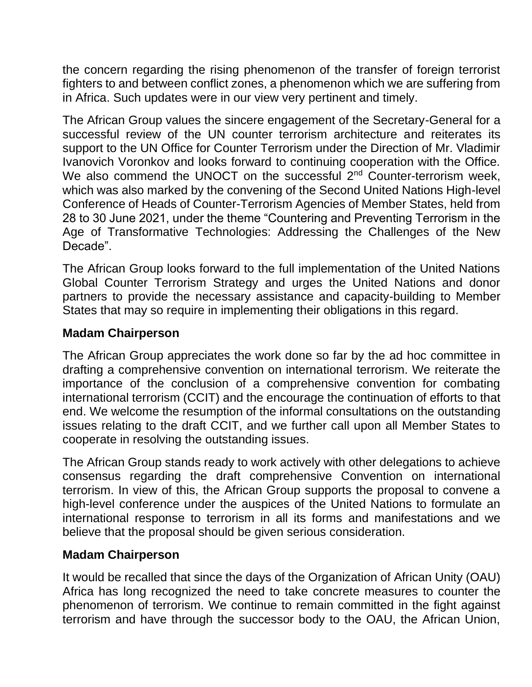the concern regarding the rising phenomenon of the transfer of foreign terrorist fighters to and between conflict zones, a phenomenon which we are suffering from in Africa. Such updates were in our view very pertinent and timely.

The African Group values the sincere engagement of the Secretary-General for a successful review of the UN counter terrorism architecture and reiterates its support to the UN Office for Counter Terrorism under the Direction of Mr. Vladimir Ivanovich Voronkov and looks forward to continuing cooperation with the Office. We also commend the UNOCT on the successful 2<sup>nd</sup> Counter-terrorism week, which was also marked by the convening of the Second United Nations High-level Conference of Heads of Counter-Terrorism Agencies of Member States, held from 28 to 30 June 2021, under the theme "Countering and Preventing Terrorism in the Age of Transformative Technologies: Addressing the Challenges of the New Decade".

The African Group looks forward to the full implementation of the United Nations Global Counter Terrorism Strategy and urges the United Nations and donor partners to provide the necessary assistance and capacity-building to Member States that may so require in implementing their obligations in this regard.

#### **Madam Chairperson**

The African Group appreciates the work done so far by the ad hoc committee in drafting a comprehensive convention on international terrorism. We reiterate the importance of the conclusion of a comprehensive convention for combating international terrorism (CCIT) and the encourage the continuation of efforts to that end. We welcome the resumption of the informal consultations on the outstanding issues relating to the draft CCIT, and we further call upon all Member States to cooperate in resolving the outstanding issues.

The African Group stands ready to work actively with other delegations to achieve consensus regarding the draft comprehensive Convention on international terrorism. In view of this, the African Group supports the proposal to convene a high-level conference under the auspices of the United Nations to formulate an international response to terrorism in all its forms and manifestations and we believe that the proposal should be given serious consideration.

#### **Madam Chairperson**

It would be recalled that since the days of the Organization of African Unity (OAU) Africa has long recognized the need to take concrete measures to counter the phenomenon of terrorism. We continue to remain committed in the fight against terrorism and have through the successor body to the OAU, the African Union,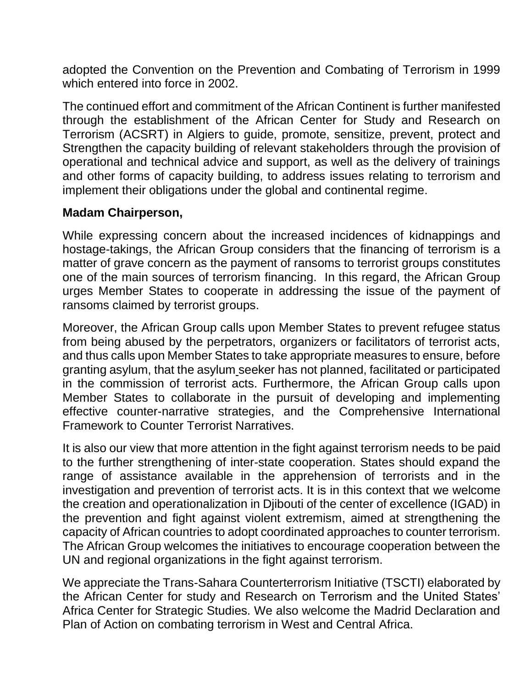adopted the Convention on the Prevention and Combating of Terrorism in 1999 which entered into force in 2002.

The continued effort and commitment of the African Continent is further manifested through the establishment of the African Center for Study and Research on Terrorism (ACSRT) in Algiers to guide, promote, sensitize, prevent, protect and Strengthen the capacity building of relevant stakeholders through the provision of operational and technical advice and support, as well as the delivery of trainings and other forms of capacity building, to address issues relating to terrorism and implement their obligations under the global and continental regime.

#### **Madam Chairperson,**

While expressing concern about the increased incidences of kidnappings and hostage-takings, the African Group considers that the financing of terrorism is a matter of grave concern as the payment of ransoms to terrorist groups constitutes one of the main sources of terrorism financing. In this regard, the African Group urges Member States to cooperate in addressing the issue of the payment of ransoms claimed by terrorist groups.

Moreover, the African Group calls upon Member States to prevent refugee status from being abused by the perpetrators, organizers or facilitators of terrorist acts, and thus calls upon Member States to take appropriate measures to ensure, before granting asylum, that the asylum seeker has not planned, facilitated or participated in the commission of terrorist acts. Furthermore, the African Group calls upon Member States to collaborate in the pursuit of developing and implementing effective counter-narrative strategies, and the Comprehensive International Framework to Counter Terrorist Narratives.

It is also our view that more attention in the fight against terrorism needs to be paid to the further strengthening of inter-state cooperation. States should expand the range of assistance available in the apprehension of terrorists and in the investigation and prevention of terrorist acts. It is in this context that we welcome the creation and operationalization in Djibouti of the center of excellence (IGAD) in the prevention and fight against violent extremism, aimed at strengthening the capacity of African countries to adopt coordinated approaches to counter terrorism. The African Group welcomes the initiatives to encourage cooperation between the UN and regional organizations in the fight against terrorism.

We appreciate the Trans-Sahara Counterterrorism Initiative (TSCTI) elaborated by the African Center for study and Research on Terrorism and the United States' Africa Center for Strategic Studies. We also welcome the Madrid Declaration and Plan of Action on combating terrorism in West and Central Africa.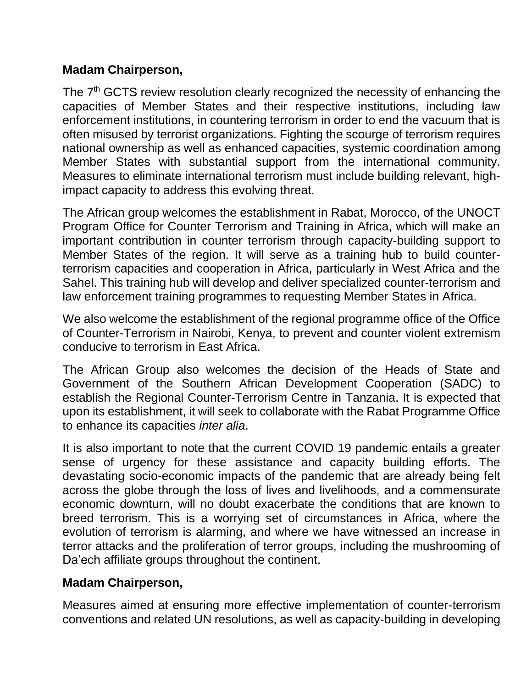#### **Madam Chairperson,**

The 7<sup>th</sup> GCTS review resolution clearly recognized the necessity of enhancing the capacities of Member States and their respective institutions, including law enforcement institutions, in countering terrorism in order to end the vacuum that is often misused by terrorist organizations. Fighting the scourge of terrorism requires national ownership as well as enhanced capacities, systemic coordination among Member States with substantial support from the international community. Measures to eliminate international terrorism must include building relevant, highimpact capacity to address this evolving threat.

The African group welcomes the establishment in Rabat, Morocco, of the UNOCT Program Office for Counter Terrorism and Training in Africa, which will make an important contribution in counter terrorism through capacity-building support to Member States of the region. It will serve as a training hub to build counterterrorism capacities and cooperation in Africa, particularly in West Africa and the Sahel. This training hub will develop and deliver specialized counter-terrorism and law enforcement training programmes to requesting Member States in Africa.

We also welcome the establishment of the regional programme office of the Office of Counter-Terrorism in Nairobi, Kenya, to prevent and counter violent extremism conducive to terrorism in East Africa.

The African Group also welcomes the decision of the Heads of State and Government of the Southern African Development Cooperation (SADC) to establish the Regional Counter-Terrorism Centre in Tanzania. It is expected that upon its establishment, it will seek to collaborate with the Rabat Programme Office to enhance its capacities *inter alia*.

It is also important to note that the current COVID 19 pandemic entails a greater sense of urgency for these assistance and capacity building efforts. The devastating socio-economic impacts of the pandemic that are already being felt across the globe through the loss of lives and livelihoods, and a commensurate economic downturn, will no doubt exacerbate the conditions that are known to breed terrorism. This is a worrying set of circumstances in Africa, where the evolution of terrorism is alarming, and where we have witnessed an increase in terror attacks and the proliferation of terror groups, including the mushrooming of Da'ech affiliate groups throughout the continent.

#### **Madam Chairperson,**

Measures aimed at ensuring more effective implementation of counter-terrorism conventions and related UN resolutions, as well as capacity-building in developing